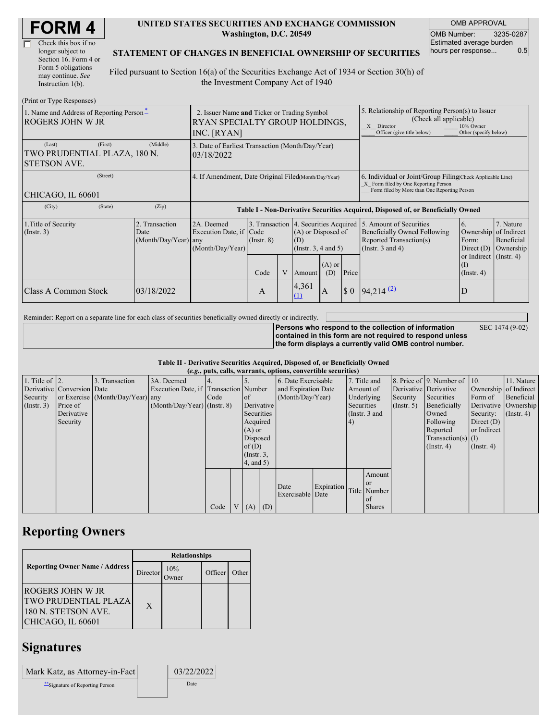| <b>FORM4</b> |
|--------------|
|--------------|

| Check this box if no  |
|-----------------------|
| longer subject to     |
| Section 16. Form 4 or |
| Form 5 obligations    |
| may continue. See     |
| Instruction $1(b)$ .  |

#### **UNITED STATES SECURITIES AND EXCHANGE COMMISSION Washington, D.C. 20549**

OMB APPROVAL OMB Number: 3235-0287 Estimated average burden hours per response... 0.5

### **STATEMENT OF CHANGES IN BENEFICIAL OWNERSHIP OF SECURITIES**

Filed pursuant to Section 16(a) of the Securities Exchange Act of 1934 or Section 30(h) of the Investment Company Act of 1940

| (Print or Type Responses)                                                |                                                                                              |                                                                                  |                 |                                                                                                                        |                                           |                 |                                                                                                                                                    |                                                                 |                                                              |  |
|--------------------------------------------------------------------------|----------------------------------------------------------------------------------------------|----------------------------------------------------------------------------------|-----------------|------------------------------------------------------------------------------------------------------------------------|-------------------------------------------|-----------------|----------------------------------------------------------------------------------------------------------------------------------------------------|-----------------------------------------------------------------|--------------------------------------------------------------|--|
| 1. Name and Address of Reporting Person-<br>ROGERS JOHN W JR             | 2. Issuer Name and Ticker or Trading Symbol<br>RYAN SPECIALTY GROUP HOLDINGS,<br>INC. [RYAN] |                                                                                  |                 |                                                                                                                        |                                           |                 | 5. Relationship of Reporting Person(s) to Issuer<br>(Check all applicable)<br>X Director<br>Officer (give title below)                             | 10% Owner<br>Other (specify below)                              |                                                              |  |
| (Last)<br>(First)<br>TWO PRUDENTIAL PLAZA, 180 N.<br><b>STETSON AVE.</b> | 3. Date of Earliest Transaction (Month/Day/Year)<br>03/18/2022                               |                                                                                  |                 |                                                                                                                        |                                           |                 |                                                                                                                                                    |                                                                 |                                                              |  |
| (Street)<br>CHICAGO, IL 60601                                            | 4. If Amendment, Date Original Filed(Month/Day/Year)                                         |                                                                                  |                 |                                                                                                                        |                                           |                 | 6. Individual or Joint/Group Filing Check Applicable Line)<br>X Form filed by One Reporting Person<br>Form filed by More than One Reporting Person |                                                                 |                                                              |  |
| (State)<br>(City)                                                        | (Zip)                                                                                        | Table I - Non-Derivative Securities Acquired, Disposed of, or Beneficially Owned |                 |                                                                                                                        |                                           |                 |                                                                                                                                                    |                                                                 |                                                              |  |
| 1. Title of Security<br>(Insert. 3)                                      | 2. Transaction<br>Date<br>$(Month/Day/Year)$ any                                             | 2A. Deemed<br>Execution Date, if Code<br>(Month/Day/Year)                        | $($ Instr. $8)$ | 3. Transaction 4. Securities Acquired 5. Amount of Securities<br>(A) or Disposed of<br>(D)<br>(Instr. $3, 4$ and $5$ ) |                                           |                 | Beneficially Owned Following<br>Reported Transaction(s)<br>(Instr. $3$ and $4$ )                                                                   | <sup>6.</sup><br>Ownership of Indirect<br>Form:<br>Direct $(D)$ | 7. Nature<br>Beneficial<br>Ownership                         |  |
|                                                                          |                                                                                              |                                                                                  | Code            | V                                                                                                                      | Amount                                    | $(A)$ or<br>(D) | Price                                                                                                                                              |                                                                 | or Indirect (Instr. 4)<br>$(\mathrm{I})$<br>$($ Instr. 4 $)$ |  |
| Class A Common Stock                                                     | 03/18/2022                                                                                   |                                                                                  | A               |                                                                                                                        | 4,361<br>$\hbox{\rlap{$\sqcup$}$\sqcup$}$ | A               | $\sqrt{3}0$                                                                                                                                        | $94,214$ <sup>(2)</sup>                                         | ID                                                           |  |

Reminder: Report on a separate line for each class of securities beneficially owned directly or indirectly.

**Persons who respond to the collection of information contained in this form are not required to respond unless the form displays a currently valid OMB control number.** SEC 1474 (9-02)

#### **Table II - Derivative Securities Acquired, Disposed of, or Beneficially Owned (***e.g.***, puts, calls, warrants, options, convertible securities)**

| $(c, g, pus, can, wariants, vpuons, convcitum, scuituus)$ |                            |                                  |                                       |      |                |                 |  |                     |            |           |               |                       |                              |                       |                  |  |                      |
|-----------------------------------------------------------|----------------------------|----------------------------------|---------------------------------------|------|----------------|-----------------|--|---------------------|------------|-----------|---------------|-----------------------|------------------------------|-----------------------|------------------|--|----------------------|
| 1. Title of $\vert$ 2.                                    |                            | 3. Transaction                   | 3A. Deemed                            |      |                |                 |  | 6. Date Exercisable |            |           | 7. Title and  |                       | 8. Price of 9. Number of 10. |                       | 11. Nature       |  |                      |
|                                                           | Derivative Conversion Date |                                  | Execution Date, if Transaction Number |      |                |                 |  | and Expiration Date |            | Amount of |               | Derivative Derivative |                              | Ownership of Indirect |                  |  |                      |
| Security                                                  |                            | or Exercise (Month/Day/Year) any |                                       | Code |                | $\circ$ f       |  | (Month/Day/Year)    |            |           | Underlying    | Security              | Securities                   | Form of               | Beneficial       |  |                      |
| (Insert. 3)                                               | Price of                   |                                  | $(Month/Day/Year)$ (Instr. 8)         |      |                | Derivative      |  |                     |            |           |               | Securities            |                              | $($ Instr. 5 $)$      | Beneficially     |  | Derivative Ownership |
|                                                           | Derivative                 |                                  |                                       |      |                | Securities      |  |                     |            |           | (Instr. 3 and |                       | Owned                        | Security:             | $($ Instr. 4 $)$ |  |                      |
|                                                           | Security                   |                                  |                                       |      |                | Acquired        |  |                     |            | (4)       |               |                       | Following                    | Direct $(D)$          |                  |  |                      |
|                                                           |                            |                                  |                                       |      |                | $(A)$ or        |  |                     |            |           |               |                       | Reported                     | or Indirect           |                  |  |                      |
|                                                           |                            |                                  |                                       |      |                | Disposed        |  |                     |            |           |               |                       | $Transaction(s)$ (I)         |                       |                  |  |                      |
|                                                           |                            |                                  |                                       |      |                | of $(D)$        |  |                     |            |           |               |                       | $($ Instr. 4 $)$             | $($ Instr. 4 $)$      |                  |  |                      |
|                                                           |                            |                                  |                                       |      |                | $($ Instr. $3,$ |  |                     |            |           |               |                       |                              |                       |                  |  |                      |
|                                                           |                            |                                  |                                       |      |                | 4, and 5)       |  |                     |            |           |               |                       |                              |                       |                  |  |                      |
|                                                           |                            |                                  |                                       |      |                |                 |  |                     |            |           | Amount        |                       |                              |                       |                  |  |                      |
|                                                           |                            |                                  |                                       |      |                |                 |  | Date                | Expiration |           | or or         |                       |                              |                       |                  |  |                      |
|                                                           |                            |                                  |                                       |      |                |                 |  | Exercisable Date    |            |           | Title Number  |                       |                              |                       |                  |  |                      |
|                                                           |                            |                                  |                                       |      |                |                 |  |                     |            |           | of            |                       |                              |                       |                  |  |                      |
|                                                           |                            |                                  |                                       | Code | V <sub>1</sub> | $(A)$ $(D)$     |  |                     |            |           | <b>Shares</b> |                       |                              |                       |                  |  |                      |

## **Reporting Owners**

|                                                                                             | <b>Relationships</b> |     |         |       |  |  |  |
|---------------------------------------------------------------------------------------------|----------------------|-----|---------|-------|--|--|--|
| <b>Reporting Owner Name / Address</b>                                                       | Director             | 10% | Officer | Other |  |  |  |
| ROGERS JOHN W JR<br><b>TWO PRUDENTIAL PLAZA</b><br>180 N. STETSON AVE.<br>CHICAGO, IL 60601 | X                    |     |         |       |  |  |  |

## **Signatures**

| Mark Katz, as Attorney-in-Fact   | 03/22/2022 |
|----------------------------------|------------|
| ** Signature of Reporting Person | Date       |